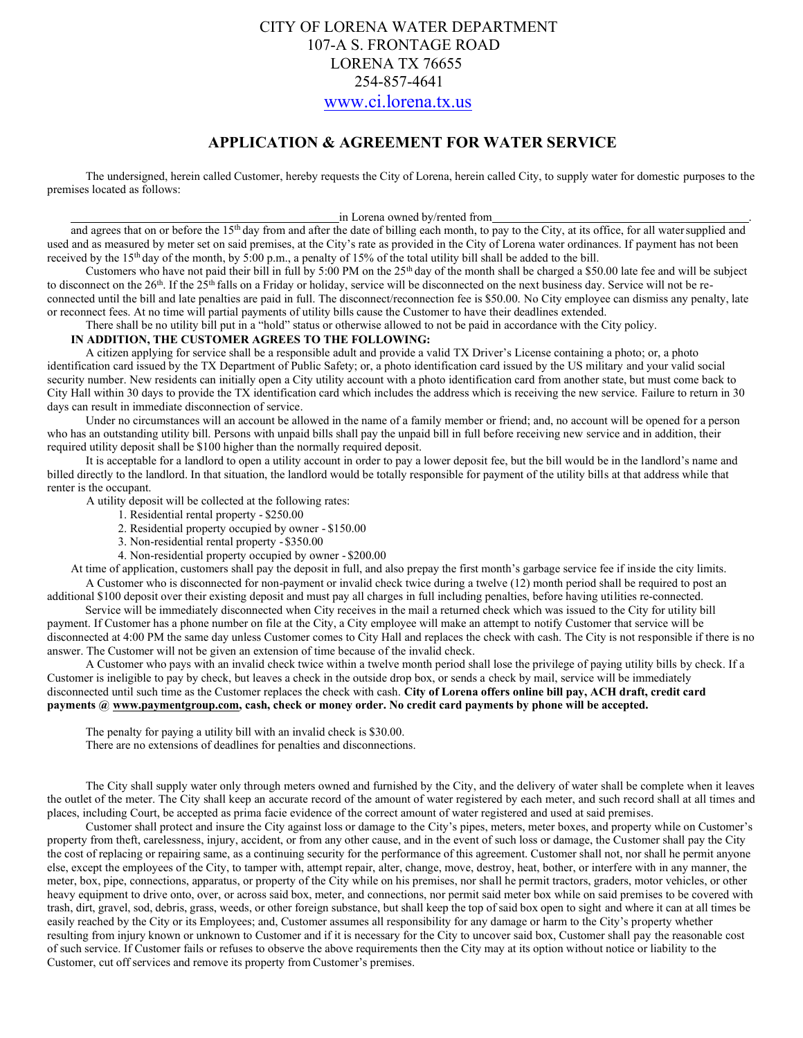# CITY OF LORENA WATER DEPARTMENT 107-A S. FRONTAGE ROAD LORENA TX 76655 254-857-4641 [www.ci.lorena.tx.us](http://www.ci.lorena.tx.us/)

## **APPLICATION & AGREEMENT FOR WATER SERVICE**

The undersigned, herein called Customer, hereby requests the City of Lorena, herein called City, to supply water for domestic purposes to the premises located as follows:

#### in Lorena owned by/rented from

and agrees that on or before the 15<sup>th</sup> day from and after the date of billing each month, to pay to the City, at its office, for all water supplied and used and as measured by meter set on said premises, at the City's rate as provided in the City of Lorena water ordinances. If payment has not been received by the 15<sup>th</sup> day of the month, by 5:00 p.m., a penalty of 15% of the total utility bill shall be added to the bill.

Customers who have not paid their bill in full by 5:00 PM on the  $25<sup>th</sup>$  day of the month shall be charged a \$50.00 late fee and will be subject to disconnect on the  $26<sup>th</sup>$ . If the  $25<sup>th</sup>$  falls on a Friday or holiday, service will be disconnected on the next business day. Service will not be reconnected until the bill and late penalties are paid in full. The disconnect/reconnection fee is \$50.00. No City employee can dismiss any penalty, late or reconnect fees. At no time will partial payments of utility bills cause the Customer to have their deadlines extended.

There shall be no utility bill put in a "hold" status or otherwise allowed to not be paid in accordance with the City policy.

#### **IN ADDITION, THE CUSTOMER AGREES TO THE FOLLOWING:**

A citizen applying for service shall be a responsible adult and provide a valid TX Driver's License containing a photo; or, a photo identification card issued by the TX Department of Public Safety; or, a photo identification card issued by the US military and your valid social security number. New residents can initially open a City utility account with a photo identification card from another state, but must come back to City Hall within 30 days to provide the TX identification card which includes the address which is receiving the new service. Failure to return in 30 days can result in immediate disconnection of service.

Under no circumstances will an account be allowed in the name of a family member or friend; and, no account will be opened for a person who has an outstanding utility bill. Persons with unpaid bills shall pay the unpaid bill in full before receiving new service and in addition, their required utility deposit shall be \$100 higher than the normally required deposit.

It is acceptable for a landlord to open a utility account in order to pay a lower deposit fee, but the bill would be in the landlord's name and billed directly to the landlord. In that situation, the landlord would be totally responsible for payment of the utility bills at that address while that renter is the occupant.

A utility deposit will be collected at the following rates:

- 1. Residential rental property \$250.00
- 2. Residential property occupied by owner \$150.00
- 3. Non-residential rental property \$350.00
- 4. Non-residential property occupied by owner \$200.00

At time of application, customers shall pay the deposit in full, and also prepay the first month's garbage service fee if inside the city limits. A Customer who is disconnected for non-payment or invalid check twice during a twelve (12) month period shall be required to post an additional \$100 deposit over their existing deposit and must pay all charges in full including penalties, before having utilities re-connected.

Service will be immediately disconnected when City receives in the mail a returned check which was issued to the City for utility bill payment. If Customer has a phone number on file at the City, a City employee will make an attempt to notify Customer that service will be disconnected at 4:00 PM the same day unless Customer comes to City Hall and replaces the check with cash. The City is not responsible if there is no answer. The Customer will not be given an extension of time because of the invalid check.

A Customer who pays with an invalid check twice within a twelve month period shall lose the privilege of paying utility bills by check. If a Customer is ineligible to pay by check, but leaves a check in the outside drop box, or sends a check by mail, service will be immediately disconnected until such time as the Customer replaces the check with cash. **City of Lorena offers online bill pay, ACH draft, credit card payments @ [www.paymentgroup.com,](http://www.paymentgroup.com/) cash, check or money order. No credit card payments by phone will be accepted.**

The penalty for paying a utility bill with an invalid check is \$30.00. There are no extensions of deadlines for penalties and disconnections.

The City shall supply water only through meters owned and furnished by the City, and the delivery of water shall be complete when it leaves the outlet of the meter. The City shall keep an accurate record of the amount of water registered by each meter, and such record shall at all times and places, including Court, be accepted as prima facie evidence of the correct amount of water registered and used at said premises.

Customer shall protect and insure the City against loss or damage to the City's pipes, meters, meter boxes, and property while on Customer's property from theft, carelessness, injury, accident, or from any other cause, and in the event of such loss or damage, the Customer shall pay the City the cost of replacing or repairing same, as a continuing security for the performance of this agreement. Customer shall not, nor shall he permit anyone else, except the employees of the City, to tamper with, attempt repair, alter, change, move, destroy, heat, bother, or interfere with in any manner, the meter, box, pipe, connections, apparatus, or property of the City while on his premises, nor shall he permit tractors, graders, motor vehicles, or other heavy equipment to drive onto, over, or across said box, meter, and connections, nor permit said meter box while on said premises to be covered with trash, dirt, gravel, sod, debris, grass, weeds, or other foreign substance, but shall keep the top of said box open to sight and where it can at all times be easily reached by the City or its Employees; and, Customer assumes all responsibility for any damage or harm to the City's property whether resulting from injury known or unknown to Customer and if it is necessary for the City to uncover said box, Customer shall pay the reasonable cost of such service. If Customer fails or refuses to observe the above requirements then the City may at its option without notice or liability to the Customer, cut off services and remove its property from Customer's premises.